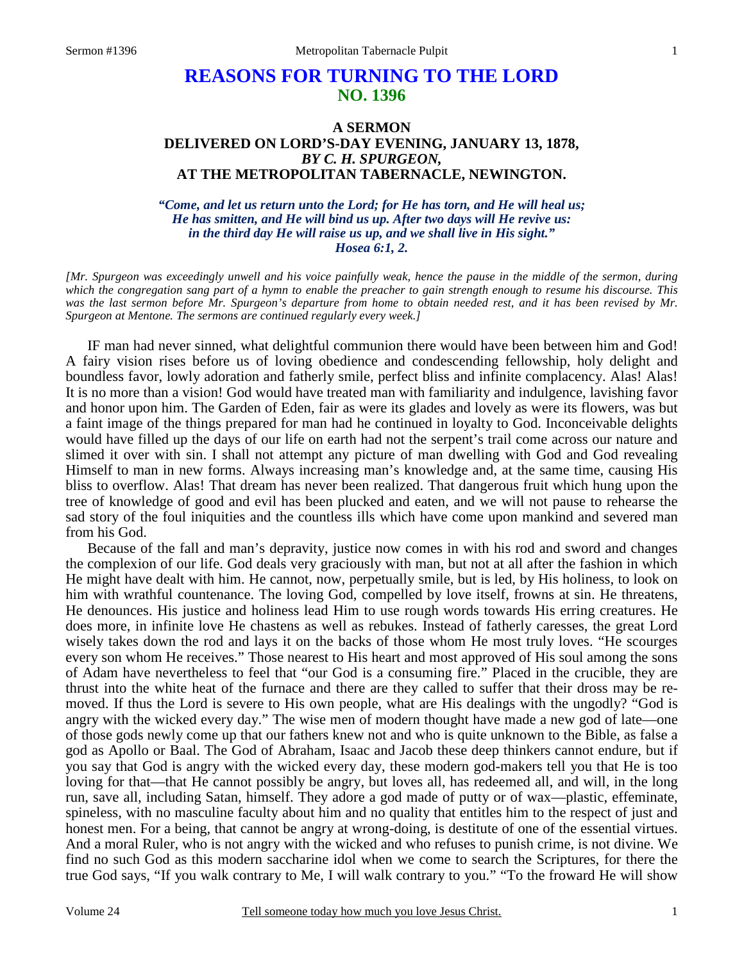## **REASONS FOR TURNING TO THE LORD NO. 1396**

## **A SERMON DELIVERED ON LORD'S-DAY EVENING, JANUARY 13, 1878,**  *BY C. H. SPURGEON,*  **AT THE METROPOLITAN TABERNACLE, NEWINGTON.**

*"Come, and let us return unto the Lord; for He has torn, and He will heal us; He has smitten, and He will bind us up. After two days will He revive us: in the third day He will raise us up, and we shall live in His sight." Hosea 6:1, 2.* 

*[Mr. Spurgeon was exceedingly unwell and his voice painfully weak, hence the pause in the middle of the sermon, during which the congregation sang part of a hymn to enable the preacher to gain strength enough to resume his discourse. This*  was the last sermon before Mr. Spurgeon's departure from home to obtain needed rest, and it has been revised by Mr. *Spurgeon at Mentone. The sermons are continued regularly every week.]* 

IF man had never sinned, what delightful communion there would have been between him and God! A fairy vision rises before us of loving obedience and condescending fellowship, holy delight and boundless favor, lowly adoration and fatherly smile, perfect bliss and infinite complacency. Alas! Alas! It is no more than a vision! God would have treated man with familiarity and indulgence, lavishing favor and honor upon him. The Garden of Eden, fair as were its glades and lovely as were its flowers, was but a faint image of the things prepared for man had he continued in loyalty to God. Inconceivable delights would have filled up the days of our life on earth had not the serpent's trail come across our nature and slimed it over with sin. I shall not attempt any picture of man dwelling with God and God revealing Himself to man in new forms. Always increasing man's knowledge and, at the same time, causing His bliss to overflow. Alas! That dream has never been realized. That dangerous fruit which hung upon the tree of knowledge of good and evil has been plucked and eaten, and we will not pause to rehearse the sad story of the foul iniquities and the countless ills which have come upon mankind and severed man from his God.

Because of the fall and man's depravity, justice now comes in with his rod and sword and changes the complexion of our life. God deals very graciously with man, but not at all after the fashion in which He might have dealt with him. He cannot, now, perpetually smile, but is led, by His holiness, to look on him with wrathful countenance. The loving God, compelled by love itself, frowns at sin. He threatens, He denounces. His justice and holiness lead Him to use rough words towards His erring creatures. He does more, in infinite love He chastens as well as rebukes. Instead of fatherly caresses, the great Lord wisely takes down the rod and lays it on the backs of those whom He most truly loves. "He scourges every son whom He receives." Those nearest to His heart and most approved of His soul among the sons of Adam have nevertheless to feel that "our God is a consuming fire." Placed in the crucible, they are thrust into the white heat of the furnace and there are they called to suffer that their dross may be removed. If thus the Lord is severe to His own people, what are His dealings with the ungodly? "God is angry with the wicked every day." The wise men of modern thought have made a new god of late—one of those gods newly come up that our fathers knew not and who is quite unknown to the Bible, as false a god as Apollo or Baal. The God of Abraham, Isaac and Jacob these deep thinkers cannot endure, but if you say that God is angry with the wicked every day, these modern god-makers tell you that He is too loving for that—that He cannot possibly be angry, but loves all, has redeemed all, and will, in the long run, save all, including Satan, himself. They adore a god made of putty or of wax—plastic, effeminate, spineless, with no masculine faculty about him and no quality that entitles him to the respect of just and honest men. For a being, that cannot be angry at wrong-doing, is destitute of one of the essential virtues. And a moral Ruler, who is not angry with the wicked and who refuses to punish crime, is not divine. We find no such God as this modern saccharine idol when we come to search the Scriptures, for there the true God says, "If you walk contrary to Me, I will walk contrary to you." "To the froward He will show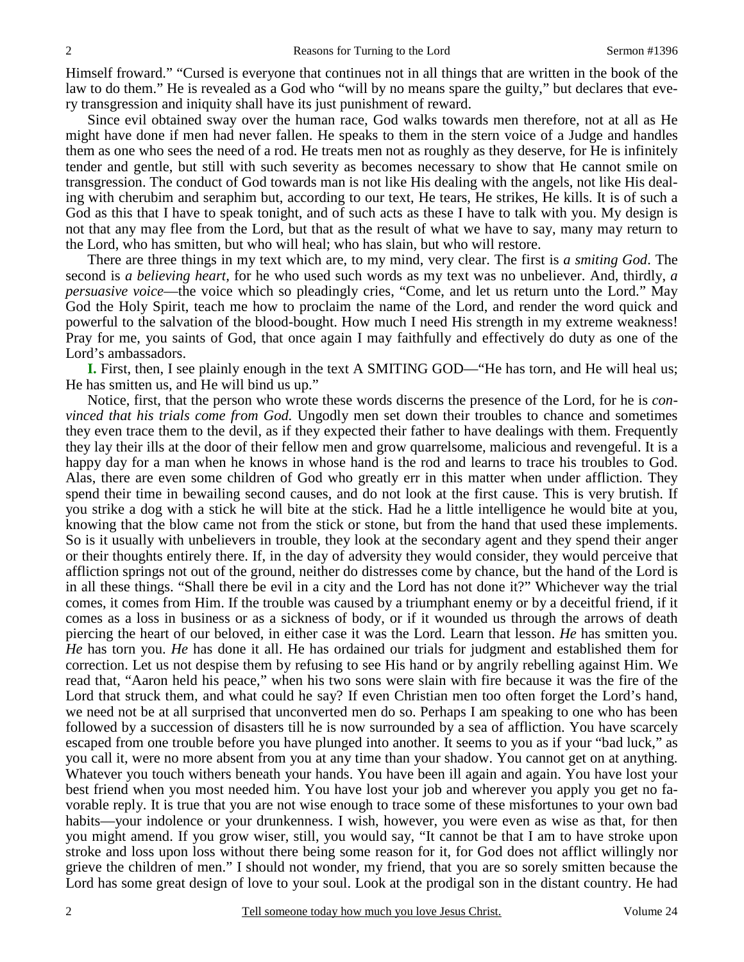Himself froward." "Cursed is everyone that continues not in all things that are written in the book of the law to do them." He is revealed as a God who "will by no means spare the guilty," but declares that every transgression and iniquity shall have its just punishment of reward.

Since evil obtained sway over the human race, God walks towards men therefore, not at all as He might have done if men had never fallen. He speaks to them in the stern voice of a Judge and handles them as one who sees the need of a rod. He treats men not as roughly as they deserve, for He is infinitely tender and gentle, but still with such severity as becomes necessary to show that He cannot smile on transgression. The conduct of God towards man is not like His dealing with the angels, not like His dealing with cherubim and seraphim but, according to our text, He tears, He strikes, He kills. It is of such a God as this that I have to speak tonight, and of such acts as these I have to talk with you. My design is not that any may flee from the Lord, but that as the result of what we have to say, many may return to the Lord, who has smitten, but who will heal; who has slain, but who will restore.

There are three things in my text which are, to my mind, very clear. The first is *a smiting God*. The second is *a believing heart,* for he who used such words as my text was no unbeliever. And, thirdly, *a persuasive voice*—the voice which so pleadingly cries, "Come, and let us return unto the Lord." May God the Holy Spirit, teach me how to proclaim the name of the Lord, and render the word quick and powerful to the salvation of the blood-bought. How much I need His strength in my extreme weakness! Pray for me, you saints of God, that once again I may faithfully and effectively do duty as one of the Lord's ambassadors.

**I.** First, then, I see plainly enough in the text A SMITING GOD—"He has torn, and He will heal us; He has smitten us, and He will bind us up."

Notice, first, that the person who wrote these words discerns the presence of the Lord, for he is *convinced that his trials come from God.* Ungodly men set down their troubles to chance and sometimes they even trace them to the devil, as if they expected their father to have dealings with them. Frequently they lay their ills at the door of their fellow men and grow quarrelsome, malicious and revengeful. It is a happy day for a man when he knows in whose hand is the rod and learns to trace his troubles to God. Alas, there are even some children of God who greatly err in this matter when under affliction. They spend their time in bewailing second causes, and do not look at the first cause. This is very brutish. If you strike a dog with a stick he will bite at the stick. Had he a little intelligence he would bite at you, knowing that the blow came not from the stick or stone, but from the hand that used these implements. So is it usually with unbelievers in trouble, they look at the secondary agent and they spend their anger or their thoughts entirely there. If, in the day of adversity they would consider, they would perceive that affliction springs not out of the ground, neither do distresses come by chance, but the hand of the Lord is in all these things. "Shall there be evil in a city and the Lord has not done it?" Whichever way the trial comes, it comes from Him. If the trouble was caused by a triumphant enemy or by a deceitful friend, if it comes as a loss in business or as a sickness of body, or if it wounded us through the arrows of death piercing the heart of our beloved, in either case it was the Lord. Learn that lesson. *He* has smitten you. *He* has torn you. *He* has done it all. He has ordained our trials for judgment and established them for correction. Let us not despise them by refusing to see His hand or by angrily rebelling against Him. We read that, "Aaron held his peace," when his two sons were slain with fire because it was the fire of the Lord that struck them, and what could he say? If even Christian men too often forget the Lord's hand, we need not be at all surprised that unconverted men do so. Perhaps I am speaking to one who has been followed by a succession of disasters till he is now surrounded by a sea of affliction. You have scarcely escaped from one trouble before you have plunged into another. It seems to you as if your "bad luck," as you call it, were no more absent from you at any time than your shadow. You cannot get on at anything. Whatever you touch withers beneath your hands. You have been ill again and again. You have lost your best friend when you most needed him. You have lost your job and wherever you apply you get no favorable reply. It is true that you are not wise enough to trace some of these misfortunes to your own bad habits—your indolence or your drunkenness. I wish, however, you were even as wise as that, for then you might amend. If you grow wiser, still, you would say, "It cannot be that I am to have stroke upon stroke and loss upon loss without there being some reason for it, for God does not afflict willingly nor grieve the children of men." I should not wonder, my friend, that you are so sorely smitten because the Lord has some great design of love to your soul. Look at the prodigal son in the distant country. He had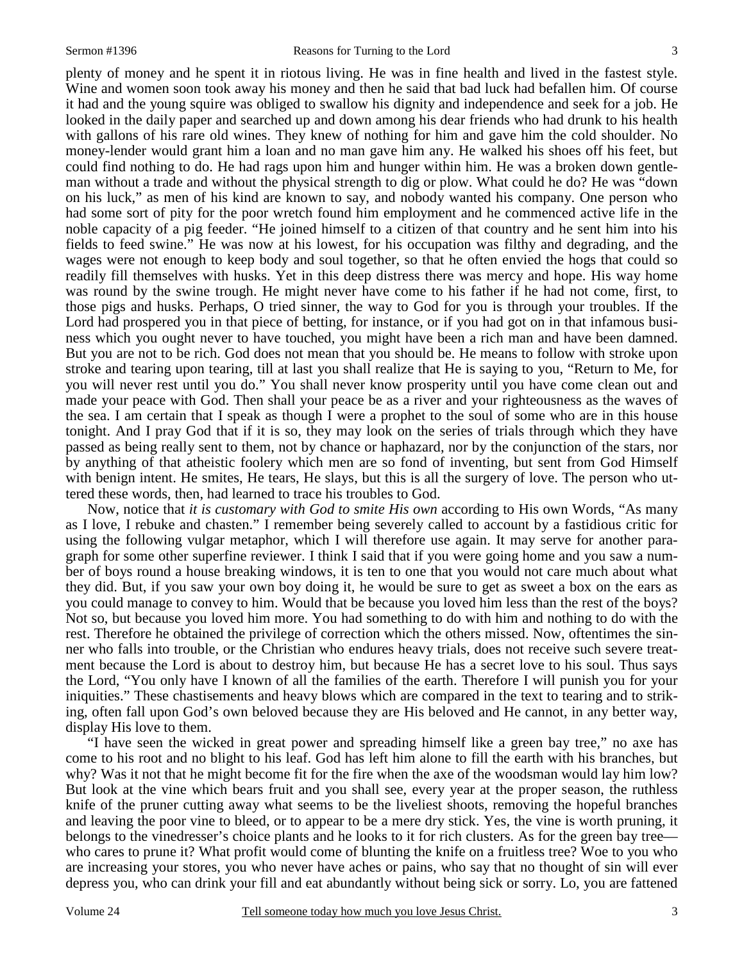plenty of money and he spent it in riotous living. He was in fine health and lived in the fastest style. Wine and women soon took away his money and then he said that bad luck had befallen him. Of course it had and the young squire was obliged to swallow his dignity and independence and seek for a job. He looked in the daily paper and searched up and down among his dear friends who had drunk to his health with gallons of his rare old wines. They knew of nothing for him and gave him the cold shoulder. No money-lender would grant him a loan and no man gave him any. He walked his shoes off his feet, but could find nothing to do. He had rags upon him and hunger within him. He was a broken down gentleman without a trade and without the physical strength to dig or plow. What could he do? He was "down on his luck," as men of his kind are known to say, and nobody wanted his company. One person who had some sort of pity for the poor wretch found him employment and he commenced active life in the noble capacity of a pig feeder. "He joined himself to a citizen of that country and he sent him into his fields to feed swine." He was now at his lowest, for his occupation was filthy and degrading, and the wages were not enough to keep body and soul together, so that he often envied the hogs that could so readily fill themselves with husks. Yet in this deep distress there was mercy and hope. His way home was round by the swine trough. He might never have come to his father if he had not come, first, to those pigs and husks. Perhaps, O tried sinner, the way to God for you is through your troubles. If the Lord had prospered you in that piece of betting, for instance, or if you had got on in that infamous business which you ought never to have touched, you might have been a rich man and have been damned. But you are not to be rich. God does not mean that you should be. He means to follow with stroke upon stroke and tearing upon tearing, till at last you shall realize that He is saying to you, "Return to Me, for you will never rest until you do." You shall never know prosperity until you have come clean out and made your peace with God. Then shall your peace be as a river and your righteousness as the waves of the sea. I am certain that I speak as though I were a prophet to the soul of some who are in this house tonight. And I pray God that if it is so, they may look on the series of trials through which they have passed as being really sent to them, not by chance or haphazard, nor by the conjunction of the stars, nor by anything of that atheistic foolery which men are so fond of inventing, but sent from God Himself with benign intent. He smites, He tears, He slays, but this is all the surgery of love. The person who uttered these words, then, had learned to trace his troubles to God.

Now, notice that *it is customary with God to smite His own* according to His own Words, "As many as I love, I rebuke and chasten." I remember being severely called to account by a fastidious critic for using the following vulgar metaphor, which I will therefore use again. It may serve for another paragraph for some other superfine reviewer. I think I said that if you were going home and you saw a number of boys round a house breaking windows, it is ten to one that you would not care much about what they did. But, if you saw your own boy doing it, he would be sure to get as sweet a box on the ears as you could manage to convey to him. Would that be because you loved him less than the rest of the boys? Not so, but because you loved him more. You had something to do with him and nothing to do with the rest. Therefore he obtained the privilege of correction which the others missed. Now, oftentimes the sinner who falls into trouble, or the Christian who endures heavy trials, does not receive such severe treatment because the Lord is about to destroy him, but because He has a secret love to his soul. Thus says the Lord, "You only have I known of all the families of the earth. Therefore I will punish you for your iniquities." These chastisements and heavy blows which are compared in the text to tearing and to striking, often fall upon God's own beloved because they are His beloved and He cannot, in any better way, display His love to them.

"I have seen the wicked in great power and spreading himself like a green bay tree," no axe has come to his root and no blight to his leaf. God has left him alone to fill the earth with his branches, but why? Was it not that he might become fit for the fire when the axe of the woodsman would lay him low? But look at the vine which bears fruit and you shall see, every year at the proper season, the ruthless knife of the pruner cutting away what seems to be the liveliest shoots, removing the hopeful branches and leaving the poor vine to bleed, or to appear to be a mere dry stick. Yes, the vine is worth pruning, it belongs to the vinedresser's choice plants and he looks to it for rich clusters. As for the green bay tree who cares to prune it? What profit would come of blunting the knife on a fruitless tree? Woe to you who are increasing your stores, you who never have aches or pains, who say that no thought of sin will ever depress you, who can drink your fill and eat abundantly without being sick or sorry. Lo, you are fattened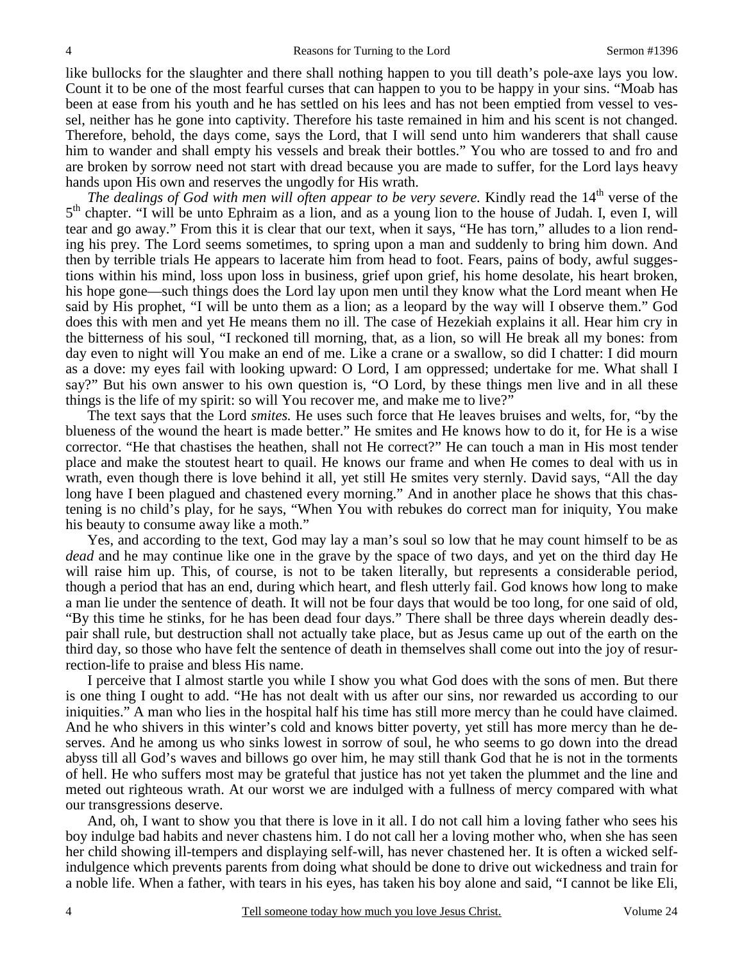like bullocks for the slaughter and there shall nothing happen to you till death's pole-axe lays you low. Count it to be one of the most fearful curses that can happen to you to be happy in your sins. "Moab has been at ease from his youth and he has settled on his lees and has not been emptied from vessel to vessel, neither has he gone into captivity. Therefore his taste remained in him and his scent is not changed. Therefore, behold, the days come, says the Lord, that I will send unto him wanderers that shall cause him to wander and shall empty his vessels and break their bottles." You who are tossed to and fro and are broken by sorrow need not start with dread because you are made to suffer, for the Lord lays heavy hands upon His own and reserves the ungodly for His wrath.

*The dealings of God with men will often appear to be very severe. Kindly read the 14<sup>th</sup> verse of the* 5<sup>th</sup> chapter. "I will be unto Ephraim as a lion, and as a young lion to the house of Judah. I, even I, will tear and go away." From this it is clear that our text, when it says, "He has torn," alludes to a lion rending his prey. The Lord seems sometimes, to spring upon a man and suddenly to bring him down. And then by terrible trials He appears to lacerate him from head to foot. Fears, pains of body, awful suggestions within his mind, loss upon loss in business, grief upon grief, his home desolate, his heart broken, his hope gone—such things does the Lord lay upon men until they know what the Lord meant when He said by His prophet, "I will be unto them as a lion; as a leopard by the way will I observe them." God does this with men and yet He means them no ill. The case of Hezekiah explains it all. Hear him cry in the bitterness of his soul, "I reckoned till morning, that, as a lion, so will He break all my bones: from day even to night will You make an end of me. Like a crane or a swallow, so did I chatter: I did mourn as a dove: my eyes fail with looking upward: O Lord, I am oppressed; undertake for me. What shall I say?" But his own answer to his own question is, "O Lord, by these things men live and in all these things is the life of my spirit: so will You recover me, and make me to live?"

The text says that the Lord *smites.* He uses such force that He leaves bruises and welts, for, "by the blueness of the wound the heart is made better." He smites and He knows how to do it, for He is a wise corrector. "He that chastises the heathen, shall not He correct?" He can touch a man in His most tender place and make the stoutest heart to quail. He knows our frame and when He comes to deal with us in wrath, even though there is love behind it all, yet still He smites very sternly. David says, "All the day long have I been plagued and chastened every morning." And in another place he shows that this chastening is no child's play, for he says, "When You with rebukes do correct man for iniquity, You make his beauty to consume away like a moth."

Yes, and according to the text, God may lay a man's soul so low that he may count himself to be as *dead* and he may continue like one in the grave by the space of two days, and yet on the third day He will raise him up. This, of course, is not to be taken literally, but represents a considerable period, though a period that has an end, during which heart, and flesh utterly fail. God knows how long to make a man lie under the sentence of death. It will not be four days that would be too long, for one said of old, "By this time he stinks, for he has been dead four days." There shall be three days wherein deadly despair shall rule, but destruction shall not actually take place, but as Jesus came up out of the earth on the third day, so those who have felt the sentence of death in themselves shall come out into the joy of resurrection-life to praise and bless His name.

I perceive that I almost startle you while I show you what God does with the sons of men. But there is one thing I ought to add. "He has not dealt with us after our sins, nor rewarded us according to our iniquities." A man who lies in the hospital half his time has still more mercy than he could have claimed. And he who shivers in this winter's cold and knows bitter poverty, yet still has more mercy than he deserves. And he among us who sinks lowest in sorrow of soul, he who seems to go down into the dread abyss till all God's waves and billows go over him, he may still thank God that he is not in the torments of hell. He who suffers most may be grateful that justice has not yet taken the plummet and the line and meted out righteous wrath. At our worst we are indulged with a fullness of mercy compared with what our transgressions deserve.

And, oh, I want to show you that there is love in it all. I do not call him a loving father who sees his boy indulge bad habits and never chastens him. I do not call her a loving mother who, when she has seen her child showing ill-tempers and displaying self-will, has never chastened her. It is often a wicked selfindulgence which prevents parents from doing what should be done to drive out wickedness and train for a noble life. When a father, with tears in his eyes, has taken his boy alone and said, "I cannot be like Eli,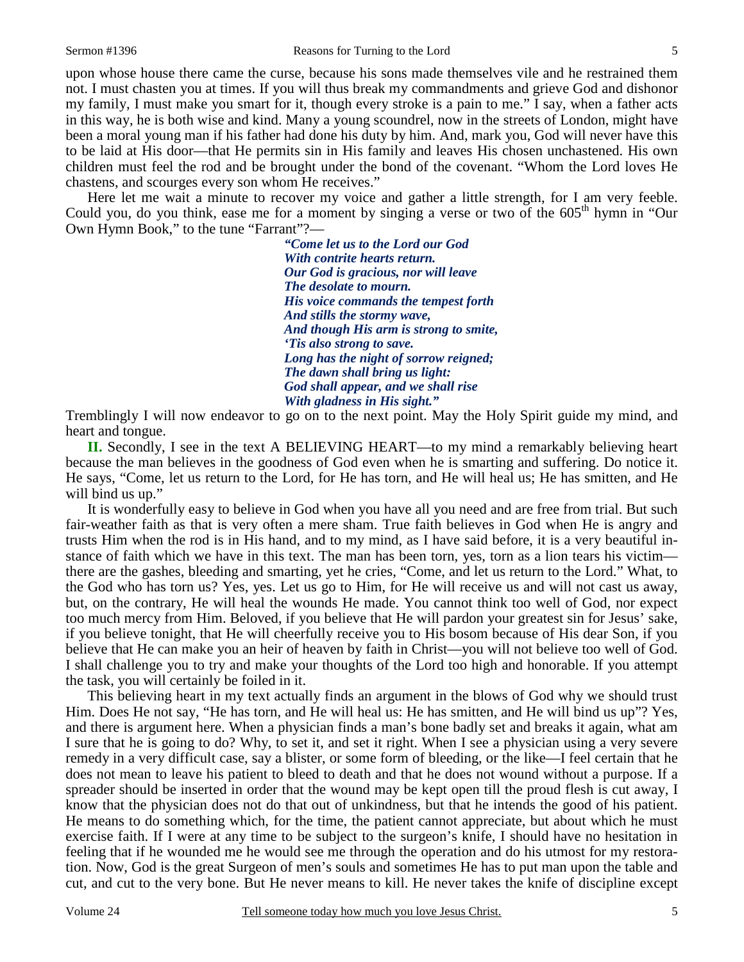upon whose house there came the curse, because his sons made themselves vile and he restrained them not. I must chasten you at times. If you will thus break my commandments and grieve God and dishonor my family, I must make you smart for it, though every stroke is a pain to me." I say, when a father acts in this way, he is both wise and kind. Many a young scoundrel, now in the streets of London, might have been a moral young man if his father had done his duty by him. And, mark you, God will never have this to be laid at His door—that He permits sin in His family and leaves His chosen unchastened. His own children must feel the rod and be brought under the bond of the covenant. "Whom the Lord loves He chastens, and scourges every son whom He receives."

Here let me wait a minute to recover my voice and gather a little strength, for I am very feeble. Could you, do you think, ease me for a moment by singing a verse or two of the  $605<sup>th</sup>$  hymn in "Our" Own Hymn Book," to the tune "Farrant"?—

> *"Come let us to the Lord our God With contrite hearts return. Our God is gracious, nor will leave The desolate to mourn. His voice commands the tempest forth And stills the stormy wave, And though His arm is strong to smite, 'Tis also strong to save. Long has the night of sorrow reigned; The dawn shall bring us light: God shall appear, and we shall rise With gladness in His sight."*

Tremblingly I will now endeavor to go on to the next point. May the Holy Spirit guide my mind, and heart and tongue.

**II.** Secondly, I see in the text A BELIEVING HEART—to my mind a remarkably believing heart because the man believes in the goodness of God even when he is smarting and suffering. Do notice it. He says, "Come, let us return to the Lord, for He has torn, and He will heal us; He has smitten, and He will bind us up."

It is wonderfully easy to believe in God when you have all you need and are free from trial. But such fair-weather faith as that is very often a mere sham. True faith believes in God when He is angry and trusts Him when the rod is in His hand, and to my mind, as I have said before, it is a very beautiful instance of faith which we have in this text. The man has been torn, yes, torn as a lion tears his victim there are the gashes, bleeding and smarting, yet he cries, "Come, and let us return to the Lord." What, to the God who has torn us? Yes, yes. Let us go to Him, for He will receive us and will not cast us away, but, on the contrary, He will heal the wounds He made. You cannot think too well of God, nor expect too much mercy from Him. Beloved, if you believe that He will pardon your greatest sin for Jesus' sake, if you believe tonight, that He will cheerfully receive you to His bosom because of His dear Son, if you believe that He can make you an heir of heaven by faith in Christ—you will not believe too well of God. I shall challenge you to try and make your thoughts of the Lord too high and honorable. If you attempt the task, you will certainly be foiled in it.

This believing heart in my text actually finds an argument in the blows of God why we should trust Him. Does He not say, "He has torn, and He will heal us: He has smitten, and He will bind us up"? Yes, and there is argument here. When a physician finds a man's bone badly set and breaks it again, what am I sure that he is going to do? Why, to set it, and set it right. When I see a physician using a very severe remedy in a very difficult case, say a blister, or some form of bleeding, or the like—I feel certain that he does not mean to leave his patient to bleed to death and that he does not wound without a purpose. If a spreader should be inserted in order that the wound may be kept open till the proud flesh is cut away, I know that the physician does not do that out of unkindness, but that he intends the good of his patient. He means to do something which, for the time, the patient cannot appreciate, but about which he must exercise faith. If I were at any time to be subject to the surgeon's knife, I should have no hesitation in feeling that if he wounded me he would see me through the operation and do his utmost for my restoration. Now, God is the great Surgeon of men's souls and sometimes He has to put man upon the table and cut, and cut to the very bone. But He never means to kill. He never takes the knife of discipline except

5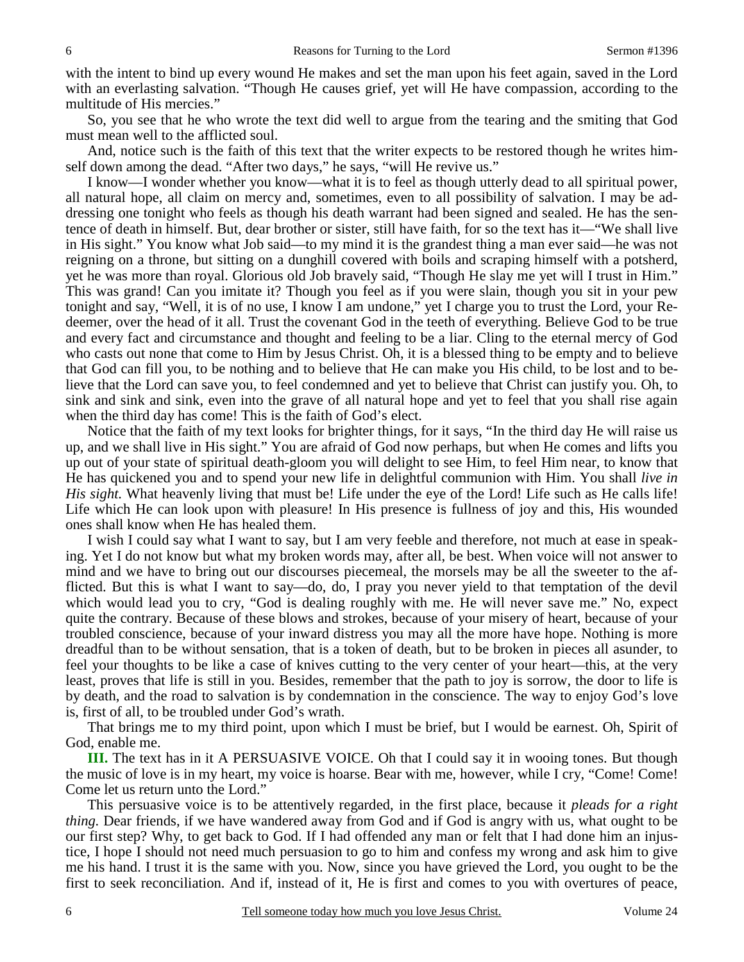with the intent to bind up every wound He makes and set the man upon his feet again, saved in the Lord with an everlasting salvation. "Though He causes grief, yet will He have compassion, according to the multitude of His mercies."

So, you see that he who wrote the text did well to argue from the tearing and the smiting that God must mean well to the afflicted soul.

And, notice such is the faith of this text that the writer expects to be restored though he writes himself down among the dead. "After two days," he says, "will He revive us."

I know—I wonder whether you know—what it is to feel as though utterly dead to all spiritual power, all natural hope, all claim on mercy and, sometimes, even to all possibility of salvation. I may be addressing one tonight who feels as though his death warrant had been signed and sealed. He has the sentence of death in himself. But, dear brother or sister, still have faith, for so the text has it—"We shall live in His sight." You know what Job said—to my mind it is the grandest thing a man ever said—he was not reigning on a throne, but sitting on a dunghill covered with boils and scraping himself with a potsherd, yet he was more than royal. Glorious old Job bravely said, "Though He slay me yet will I trust in Him." This was grand! Can you imitate it? Though you feel as if you were slain, though you sit in your pew tonight and say, "Well, it is of no use, I know I am undone," yet I charge you to trust the Lord, your Redeemer, over the head of it all. Trust the covenant God in the teeth of everything. Believe God to be true and every fact and circumstance and thought and feeling to be a liar. Cling to the eternal mercy of God who casts out none that come to Him by Jesus Christ. Oh, it is a blessed thing to be empty and to believe that God can fill you, to be nothing and to believe that He can make you His child, to be lost and to believe that the Lord can save you, to feel condemned and yet to believe that Christ can justify you. Oh, to sink and sink and sink, even into the grave of all natural hope and yet to feel that you shall rise again when the third day has come! This is the faith of God's elect.

Notice that the faith of my text looks for brighter things, for it says, "In the third day He will raise us up, and we shall live in His sight." You are afraid of God now perhaps, but when He comes and lifts you up out of your state of spiritual death-gloom you will delight to see Him, to feel Him near, to know that He has quickened you and to spend your new life in delightful communion with Him. You shall *live in His sight.* What heavenly living that must be! Life under the eye of the Lord! Life such as He calls life! Life which He can look upon with pleasure! In His presence is fullness of joy and this, His wounded ones shall know when He has healed them.

I wish I could say what I want to say, but I am very feeble and therefore, not much at ease in speaking. Yet I do not know but what my broken words may, after all, be best. When voice will not answer to mind and we have to bring out our discourses piecemeal, the morsels may be all the sweeter to the afflicted. But this is what I want to say—do, do, I pray you never yield to that temptation of the devil which would lead you to cry, "God is dealing roughly with me. He will never save me." No, expect quite the contrary. Because of these blows and strokes, because of your misery of heart, because of your troubled conscience, because of your inward distress you may all the more have hope. Nothing is more dreadful than to be without sensation, that is a token of death, but to be broken in pieces all asunder, to feel your thoughts to be like a case of knives cutting to the very center of your heart—this, at the very least, proves that life is still in you. Besides, remember that the path to joy is sorrow, the door to life is by death, and the road to salvation is by condemnation in the conscience. The way to enjoy God's love is, first of all, to be troubled under God's wrath.

That brings me to my third point, upon which I must be brief, but I would be earnest. Oh, Spirit of God, enable me.

**III.** The text has in it A PERSUASIVE VOICE. Oh that I could say it in wooing tones. But though the music of love is in my heart, my voice is hoarse. Bear with me, however, while I cry, "Come! Come! Come let us return unto the Lord."

This persuasive voice is to be attentively regarded, in the first place, because it *pleads for a right thing.* Dear friends, if we have wandered away from God and if God is angry with us, what ought to be our first step? Why, to get back to God. If I had offended any man or felt that I had done him an injustice, I hope I should not need much persuasion to go to him and confess my wrong and ask him to give me his hand. I trust it is the same with you. Now, since you have grieved the Lord, you ought to be the first to seek reconciliation. And if, instead of it, He is first and comes to you with overtures of peace,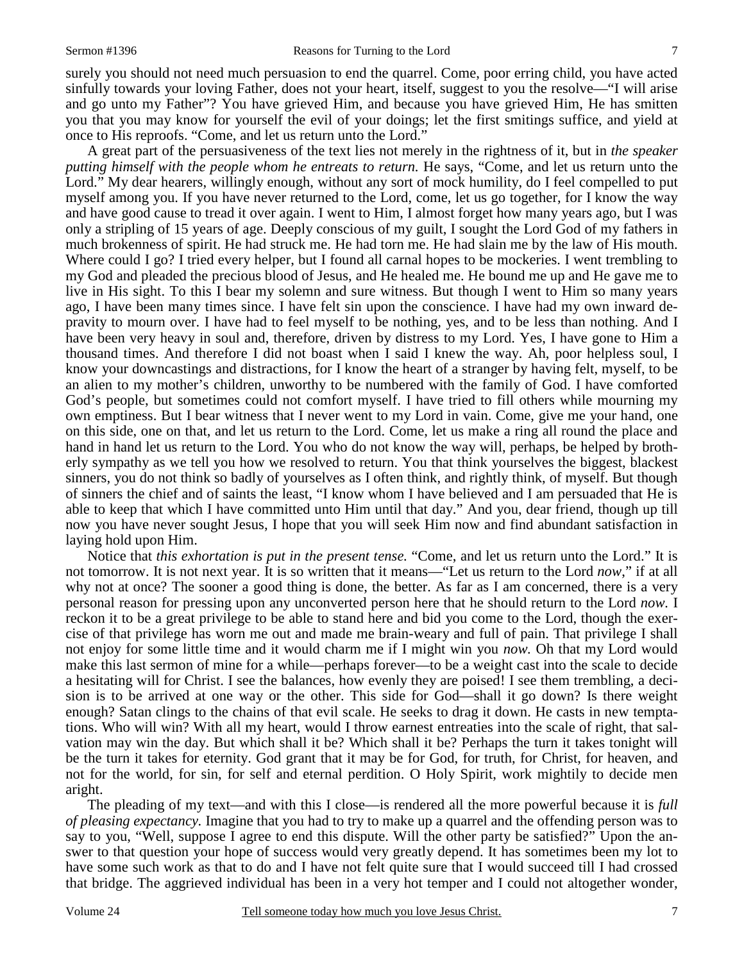surely you should not need much persuasion to end the quarrel. Come, poor erring child, you have acted sinfully towards your loving Father, does not your heart, itself, suggest to you the resolve—"I will arise and go unto my Father"? You have grieved Him, and because you have grieved Him, He has smitten you that you may know for yourself the evil of your doings; let the first smitings suffice, and yield at once to His reproofs. "Come, and let us return unto the Lord."

A great part of the persuasiveness of the text lies not merely in the rightness of it, but in *the speaker putting himself with the people whom he entreats to return.* He says, "Come, and let us return unto the Lord." My dear hearers, willingly enough, without any sort of mock humility, do I feel compelled to put myself among you. If you have never returned to the Lord, come, let us go together, for I know the way and have good cause to tread it over again. I went to Him, I almost forget how many years ago, but I was only a stripling of 15 years of age. Deeply conscious of my guilt, I sought the Lord God of my fathers in much brokenness of spirit. He had struck me. He had torn me. He had slain me by the law of His mouth. Where could I go? I tried every helper, but I found all carnal hopes to be mockeries. I went trembling to my God and pleaded the precious blood of Jesus, and He healed me. He bound me up and He gave me to live in His sight. To this I bear my solemn and sure witness. But though I went to Him so many years ago, I have been many times since. I have felt sin upon the conscience. I have had my own inward depravity to mourn over. I have had to feel myself to be nothing, yes, and to be less than nothing. And I have been very heavy in soul and, therefore, driven by distress to my Lord. Yes, I have gone to Him a thousand times. And therefore I did not boast when I said I knew the way. Ah, poor helpless soul, I know your downcastings and distractions, for I know the heart of a stranger by having felt, myself, to be an alien to my mother's children, unworthy to be numbered with the family of God. I have comforted God's people, but sometimes could not comfort myself. I have tried to fill others while mourning my own emptiness. But I bear witness that I never went to my Lord in vain. Come, give me your hand, one on this side, one on that, and let us return to the Lord. Come, let us make a ring all round the place and hand in hand let us return to the Lord. You who do not know the way will, perhaps, be helped by brotherly sympathy as we tell you how we resolved to return. You that think yourselves the biggest, blackest sinners, you do not think so badly of yourselves as I often think, and rightly think, of myself. But though of sinners the chief and of saints the least, "I know whom I have believed and I am persuaded that He is able to keep that which I have committed unto Him until that day." And you, dear friend, though up till now you have never sought Jesus, I hope that you will seek Him now and find abundant satisfaction in laying hold upon Him.

Notice that *this exhortation is put in the present tense.* "Come, and let us return unto the Lord." It is not tomorrow. It is not next year. It is so written that it means—"Let us return to the Lord *now*," if at all why not at once? The sooner a good thing is done, the better. As far as I am concerned, there is a very personal reason for pressing upon any unconverted person here that he should return to the Lord *now.* I reckon it to be a great privilege to be able to stand here and bid you come to the Lord, though the exercise of that privilege has worn me out and made me brain-weary and full of pain. That privilege I shall not enjoy for some little time and it would charm me if I might win you *now.* Oh that my Lord would make this last sermon of mine for a while—perhaps forever—to be a weight cast into the scale to decide a hesitating will for Christ. I see the balances, how evenly they are poised! I see them trembling, a decision is to be arrived at one way or the other. This side for God—shall it go down? Is there weight enough? Satan clings to the chains of that evil scale. He seeks to drag it down. He casts in new temptations. Who will win? With all my heart, would I throw earnest entreaties into the scale of right, that salvation may win the day. But which shall it be? Which shall it be? Perhaps the turn it takes tonight will be the turn it takes for eternity. God grant that it may be for God, for truth, for Christ, for heaven, and not for the world, for sin, for self and eternal perdition. O Holy Spirit, work mightily to decide men aright.

The pleading of my text—and with this I close—is rendered all the more powerful because it is *full of pleasing expectancy.* Imagine that you had to try to make up a quarrel and the offending person was to say to you, "Well, suppose I agree to end this dispute. Will the other party be satisfied?" Upon the answer to that question your hope of success would very greatly depend. It has sometimes been my lot to have some such work as that to do and I have not felt quite sure that I would succeed till I had crossed that bridge. The aggrieved individual has been in a very hot temper and I could not altogether wonder,